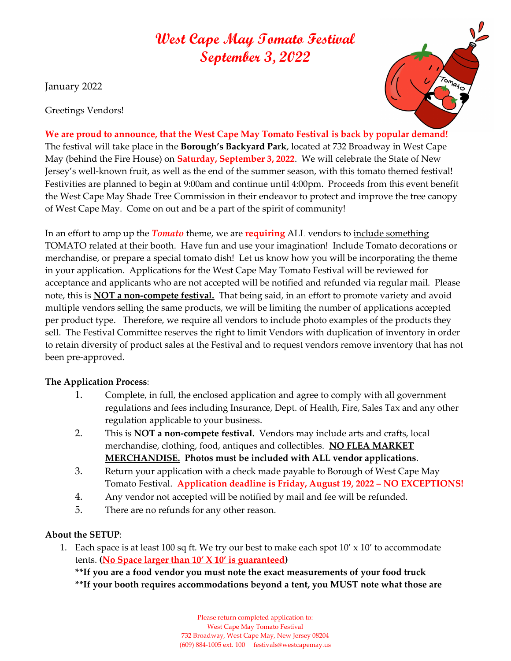## West Cape May Tomato Festival September 3, 2022

January 2022

Greetings Vendors!



We are proud to announce, that the West Cape May Tomato Festival is back by popular demand! The festival will take place in the Borough's Backyard Park, located at 732 Broadway in West Cape May (behind the Fire House) on **Saturday, September 3, 2022**. We will celebrate the State of New Jersey's well-known fruit, as well as the end of the summer season, with this tomato themed festival! Festivities are planned to begin at 9:00am and continue until 4:00pm. Proceeds from this event benefit the West Cape May Shade Tree Commission in their endeavor to protect and improve the tree canopy of West Cape May. Come on out and be a part of the spirit of community!

In an effort to amp up the *Tomato* theme, we are **requiring** ALL vendors to <u>include something</u> TOMATO related at their booth. Have fun and use your imagination! Include Tomato decorations or merchandise, or prepare a special tomato dish! Let us know how you will be incorporating the theme in your application. Applications for the West Cape May Tomato Festival will be reviewed for acceptance and applicants who are not accepted will be notified and refunded via regular mail. Please note, this is **NOT a non-compete festival.** That being said, in an effort to promote variety and avoid multiple vendors selling the same products, we will be limiting the number of applications accepted per product type. Therefore, we require all vendors to include photo examples of the products they sell. The Festival Committee reserves the right to limit Vendors with duplication of inventory in order to retain diversity of product sales at the Festival and to request vendors remove inventory that has not been pre-approved.

## The Application Process:

- 1. Complete, in full, the enclosed application and agree to comply with all government regulations and fees including Insurance, Dept. of Health, Fire, Sales Tax and any other regulation applicable to your business.
- 2. This is **NOT a non-compete festival.** Vendors may include arts and crafts, local merchandise, clothing, food, antiques and collectibles. NO FLEA MARKET MERCHANDISE. Photos must be included with ALL vendor applications.
- 3. Return your application with a check made payable to Borough of West Cape May Tomato Festival. Application deadline is Friday, August 19, 2022 - NO EXCEPTIONS!
- 4. Any vendor not accepted will be notified by mail and fee will be refunded.
- 5. There are no refunds for any other reason.

## About the SETUP:

1. Each space is at least 100 sq ft. We try our best to make each spot  $10' \times 10'$  to accommodate tents. (No Space larger than  $10'$  X  $10'$  is guaranteed)

\*\*If you are a food vendor you must note the exact measurements of your food truck \*\*If your booth requires accommodations beyond a tent, you MUST note what those are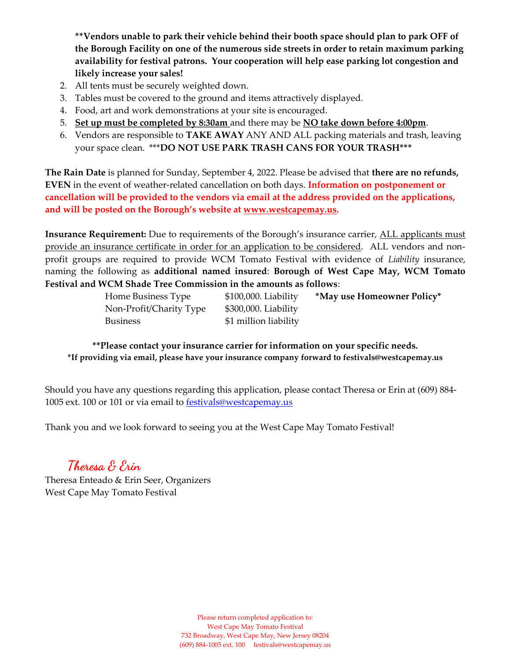\*\*Vendors unable to park their vehicle behind their booth space should plan to park OFF of the Borough Facility on one of the numerous side streets in order to retain maximum parking availability for festival patrons. Your cooperation will help ease parking lot congestion and likely increase your sales!

- 2. All tents must be securely weighted down.
- 3. Tables must be covered to the ground and items attractively displayed.
- 4. Food, art and work demonstrations at your site is encouraged.
- 5. Set up must be completed by 8:30am and there may be NO take down before 4:00pm.
- 6. Vendors are responsible to TAKE AWAY ANY AND ALL packing materials and trash, leaving your space clean. \*\*\*DO NOT USE PARK TRASH CANS FOR YOUR TRASH\*\*\*

The Rain Date is planned for Sunday, September 4, 2022. Please be advised that there are no refunds, EVEN in the event of weather-related cancellation on both days. Information on postponement or cancellation will be provided to the vendors via email at the address provided on the applications, and will be posted on the Borough's website at www.westcapemay.us.

Insurance Requirement: Due to requirements of the Borough's insurance carrier, ALL applicants must provide an insurance certificate in order for an application to be considered. ALL vendors and nonprofit groups are required to provide WCM Tomato Festival with evidence of Liability insurance, naming the following as additional named insured: Borough of West Cape May, WCM Tomato Festival and WCM Shade Tree Commission in the amounts as follows:

| Home Business Type      | $$100,000$ . Liability | *May use Homeowner Policy* |
|-------------------------|------------------------|----------------------------|
| Non-Profit/Charity Type | $$300,000$ . Liability |                            |
| <b>Business</b>         | \$1 million liability  |                            |

\*\*Please contact your insurance carrier for information on your specific needs. \*If providing via email, please have your insurance company forward to festivals@westcapemay.us

Should you have any questions regarding this application, please contact Theresa or Erin at (609) 884- 1005 ext. 100 or 101 or via email to **festivals@westcapemay.us** 

Thank you and we look forward to seeing you at the West Cape May Tomato Festival!

Theresa & Erin

Theresa Enteado & Erin Seer, Organizers West Cape May Tomato Festival

> Please return completed application to: West Cape May Tomato Festival 732 Broadway, West Cape May, New Jersey 08204 (609) 884-1005 ext. 100 festivals@westcapemay.us